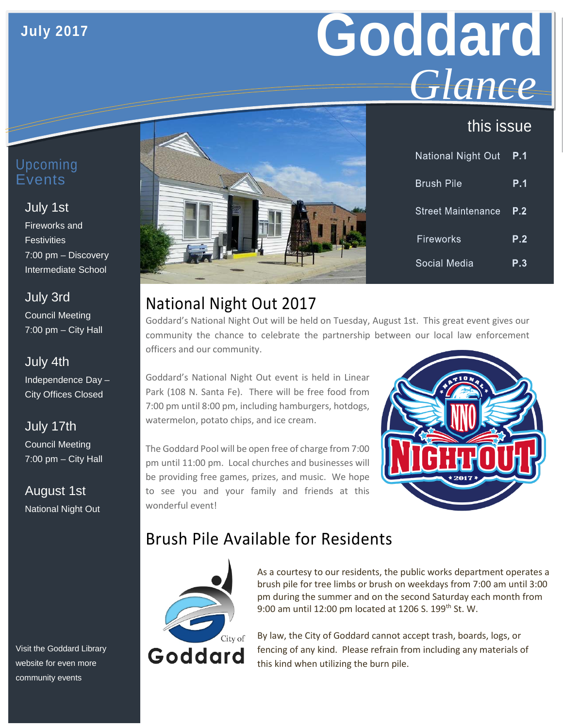### **July 2017**

# **Goddard** *Glance*

## this issue

| Upcoming |
|----------|
| Events   |
|          |

#### July 1st

Fireworks and **Festivities** 7:00 pm – Discovery Intermediate School

July 3rd Council Meeting 7:00 pm – City Hall

July 4th Independence Day – City Offices Closed

July 17th Council Meeting 7:00 pm – City Hall

August 1st National Night Out

Visit the Goddard Library website for even more community events



| National Night Out  | P.1 |
|---------------------|-----|
| <b>Brush Pile</b>   | P.1 |
| 'Street Maintenance | P.2 |
| Fireworks           | P.2 |
| Social Media        | P.3 |

# National Night Out 2017

Goddard's National Night Out will be held on Tuesday, August 1st. This great event gives our community the chance to celebrate the partnership between our local law enforcement officers and our community.

Goddard's National Night Out event is held in Linear Park (108 N. Santa Fe). There will be free food from 7:00 pm until 8:00 pm, including hamburgers, hotdogs, watermelon, potato chips, and ice cream.

The Goddard Pool will be open free of charge from 7:00 pm until 11:00 pm. Local churches and businesses will be providing free games, prizes, and music. We hope to see you and your family and friends at this wonderful event!



# Brush Pile Available for Residents



As a courtesy to our residents, the public works department operates a brush pile for tree limbs or brush on weekdays from 7:00 am until 3:00 pm during the summer and on the second Saturday each month from 9:00 am until 12:00 pm located at 1206 S. 199<sup>th</sup> St. W.

By law, the City of Goddard cannot accept trash, boards, logs, or fencing of any kind. Please refrain from including any materials of this kind when utilizing the burn pile.